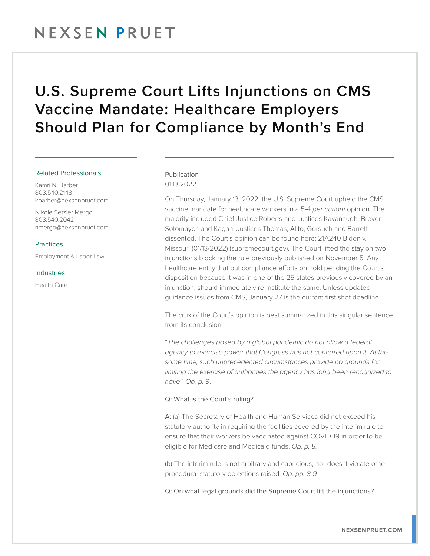## NEXSENPRUET

## U.S. Supreme Court Lifts Injunctions on CMS Vaccine Mandate: Healthcare Employers Should Plan for Compliance by Month's End

#### Related Professionals

Kamri N. Barber 803.540.2148 kbarber@nexsenpruet.com

Nikole Setzler Mergo 803.540.2042 nmergo@nexsenpruet.com

#### Practices

Employment & Labor Law

Industries

Health Care

### Publication 01.13.2022

On Thursday, January 13, 2022, the U.S. Supreme Court upheld the CMS vaccine mandate for healthcare workers in a 5-4 *per curiam* opinion. The majority included Chief Justice Roberts and Justices Kavanaugh, Breyer, Sotomayor, and Kagan. Justices Thomas, Alito, Gorsuch and Barrett dissented. The Court's opinion can be found here: 21A240 Biden v. Missouri (01/13/2022) (supremecourt.gov). The Court lifted the stay on two injunctions blocking the rule previously published on November 5. Any healthcare entity that put compliance efforts on hold pending the Court's disposition because it was in one of the 25 states previously covered by an injunction, should immediately re-institute the same. Unless updated guidance issues from CMS, January 27 is the current first shot deadline.

The crux of the Court's opinion is best summarized in this singular sentence from its conclusion:

"*The challenges posed by a global pandemic do not allow a federal agency to exercise power that Congress has not conferred upon it. At the same time, such unprecedented circumstances provide no grounds for limiting the exercise of authorities the agency has long been recognized to have*." *Op. p. 9*.

### Q: What is the Court's ruling?

A: (a) The Secretary of Health and Human Services did not exceed his statutory authority in requiring the facilities covered by the interim rule to ensure that their workers be vaccinated against COVID-19 in order to be eligible for Medicare and Medicaid funds. *Op. p. 8.*

(b) The interim rule is not arbitrary and capricious, nor does it violate other procedural statutory objections raised. *Op. pp. 8-9.*

Q: On what legal grounds did the Supreme Court lift the injunctions?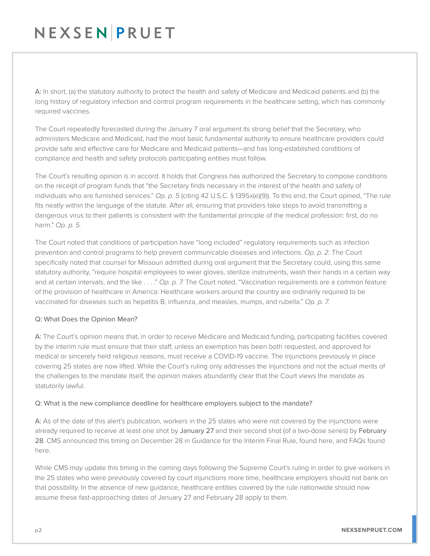# NEXSENPRUET

A: In short, (a) the statutory authority to protect the health and safety of Medicare and Medicaid patients and (b) the long history of regulatory infection and control program requirements in the healthcare setting, which has commonly required vaccines.

The Court repeatedly forecasted during the January 7 oral argument its strong belief that the Secretary, who administers Medicare and Medicaid, had the most basic fundamental authority to ensure healthcare providers could provide safe and effective care for Medicare and Medicaid patients—and has long-established conditions of compliance and health and safety protocols participating entities must follow.

The Court's resulting opinion is in accord. It holds that Congress has authorized the Secretary to compose conditions on the receipt of program funds that "the Secretary finds necessary in the interest of the health and safety of individuals who are furnished services." *Op. p. 5* (citing 42 U.S.C. § 1395x(e)(9)). To this end, the Court opined, "The rule fits neatly within the language of the statute. After all, ensuring that providers take steps to avoid transmitting a dangerous virus to their patients is consistent with the fundamental principle of the medical profession: first, do no harm." *Op. p. 5.*

The Court noted that conditions of participation have "long included" regulatory requirements such as infection prevention and control programs to help prevent communicable diseases and infections. *Op. p. 2.* The Court specifically noted that counsel for Missouri admitted during oral argument that the Secretary could, using this same statutory authority, "require hospital employees to wear gloves, sterilize instruments, wash their hands in a certain way and at certain intervals, and the like . . . ." *Op. p. 7.* The Court noted, "Vaccination requirements are a common feature of the provision of healthcare in America: Healthcare workers around the country are ordinarily required to be vaccinated for diseases such as hepatitis B, influenza, and measles, mumps, and rubella." *Op. p. 7.*

### Q: What Does the Opinion Mean?

A: The Court's opinion means that, in order to receive Medicare and Medicaid funding, participating facilities covered by the interim rule must ensure that their staff, unless an exemption has been both requested, and approved for medical or sincerely held religious reasons, must receive a COVID-19 vaccine. The injunctions previously in place covering 25 states are now lifted. While the Court's ruling only addresses the injunctions and not the actual merits of the challenges to the mandate itself, the opinion makes abundantly clear that the Court views the mandate as statutorily lawful.

### Q: What is the new compliance deadline for healthcare employers subject to the mandate?

A: As of the date of this alert's publication, workers in the 25 states who were not covered by the injunctions were already required to receive at least one shot by January 27 and their second shot (of a two-dose series) by February 28. CMS announced this timing on December 28 in Guidance for the Interim Final Rule, found here, and FAQs found here.

While CMS *may* update this timing in the coming days following the Supreme Court's ruling in order to give workers in the 25 states who were previously covered by court injunctions more time, healthcare employers should not bank on that possibility. In the absence of new guidance, healthcare entities covered by the rule nationwide should now assume these fast-approaching dates of January 27 and February 28 apply to them.